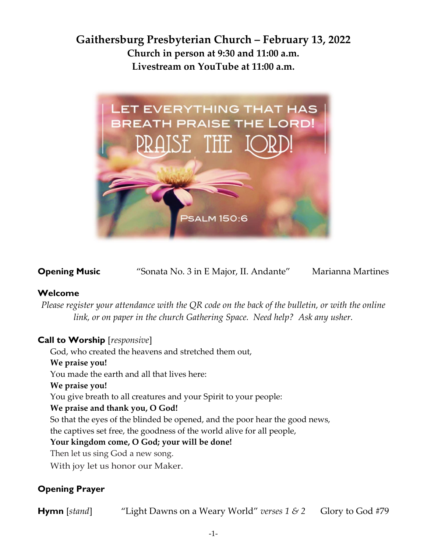## **Gaithersburg Presbyterian Church – February 13, 2022 Church in person at 9:30 and 11:00 a.m. Livestream on YouTube at 11:00 a.m.**



**Opening Music** "Sonata No. 3 in E Major, II. Andante" Marianna Martines

## **Welcome**

*Please register your attendance with the QR code on the back of the bulletin, or with the online link, or on paper in the church Gathering Space. Need help? Ask any usher.*

## **Call to Worship** [*responsive*]

God, who created the heavens and stretched them out,

#### **We praise you!**

You made the earth and all that lives here:

#### **We praise you!**

You give breath to all creatures and your Spirit to your people:

#### **We praise and thank you, O God!**

So that the eyes of the blinded be opened, and the poor hear the good news,

the captives set free, the goodness of the world alive for all people,

## **Your kingdom come, O God; your will be done!**

Then let us sing God a new song.

With joy let us honor our Maker.

## **Opening Prayer**

**Hymn** [*stand*] "Light Dawns on a Weary World" *verses* 1 & 2 Glory to God #79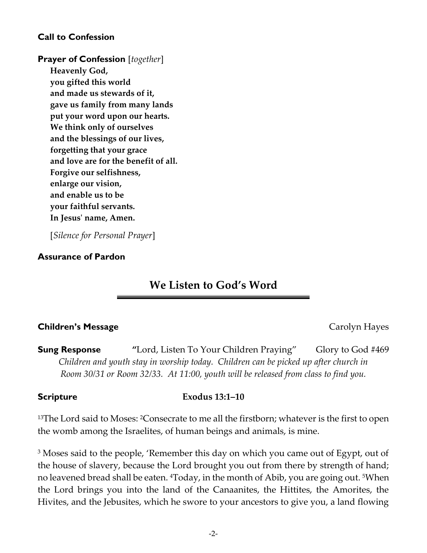## **Call to Confession**

## **Prayer of Confession** [*together*]

**Heavenly God, you gifted this world and made us stewards of it, gave us family from many lands put your word upon our hearts. We think only of ourselves and the blessings of our lives, forgetting that your grace and love are for the benefit of all. Forgive our selfishness, enlarge our vision, and enable us to be your faithful servants. In Jesus' name, Amen.**

[*Silence for Personal Prayer*]

## **Assurance of Pardon**

## **We Listen to God's Word**

## **Children's Message** Carolyn Hayes

**Sung Response "**Lord, Listen To Your Children Praying" Glory to God #469 *Children and youth stay in worship today. Children can be picked up after church in Room 30/31 or Room 32/33. At 11:00, youth will be released from class to find you.* 

## **Scripture Exodus 13:1–10**

<sup>13</sup>The Lord said to Moses: <sup>2</sup>Consecrate to me all the firstborn; whatever is the first to open the womb among the Israelites, of human beings and animals, is mine.

<sup>3</sup> Moses said to the people, 'Remember this day on which you came out of Egypt, out of the house of slavery, because the Lord brought you out from there by strength of hand; no leavened bread shall be eaten. <sup>4</sup>Today, in the month of Abib, you are going out. <sup>5</sup>When the Lord brings you into the land of the Canaanites, the Hittites, the Amorites, the Hivites, and the Jebusites, which he swore to your ancestors to give you, a land flowing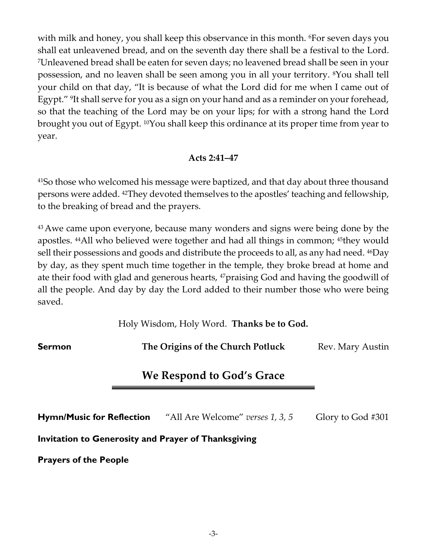with milk and honey, you shall keep this observance in this month. <sup>6</sup>For seven days you shall eat unleavened bread, and on the seventh day there shall be a festival to the Lord. <sup>7</sup>Unleavened bread shall be eaten for seven days; no leavened bread shall be seen in your possession, and no leaven shall be seen among you in all your territory. 8You shall tell your child on that day, "It is because of what the Lord did for me when I came out of Egypt." <sup>9</sup> It shall serve for you as a sign on your hand and as a reminder on your forehead, so that the teaching of the Lord may be on your lips; for with a strong hand the Lord brought you out of Egypt. 10You shall keep this ordinance at its proper time from year to year.

## **Acts 2:41–47**

<sup>41</sup>So those who welcomed his message were baptized, and that day about three thousand persons were added. 42They devoted themselves to the apostles' teaching and fellowship, to the breaking of bread and the prayers.

<sup>43</sup> Awe came upon everyone, because many wonders and signs were being done by the apostles. 44All who believed were together and had all things in common; 45they would sell their possessions and goods and distribute the proceeds to all, as any had need. <sup>46</sup>Day by day, as they spent much time together in the temple, they broke bread at home and ate their food with glad and generous hearts, 47praising God and having the goodwill of all the people. And day by day the Lord added to their number those who were being saved.

Holy Wisdom, Holy Word. **Thanks be to God.**

**Sermon The Origins of the Church Potluck** Rev. Mary Austin

## **We Respond to God's Grace**

**Hymn/Music for Reflection** "All Are Welcome" *verses 1, 3, 5* Glory to God #301

**Invitation to Generosity and Prayer of Thanksgiving**

**Prayers of the People**